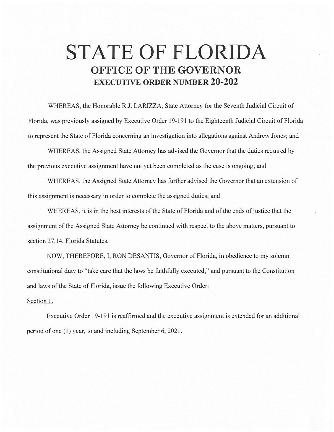## **STATE OF FLORIDA OFFICE OF THE GOVERNOR EXECUTIVE ORDER NUMBER 20-202**

WHEREAS, the Honorable R.J. LARIZZA, State Attorney for the Seventh Judicial Circuit of Florida, was previously assigned by Executive Order 19-191 to the Eighteenth Judicial Circuit of Florida to represent the State of Florida concerning an investigation into allegations against Andrew Jones; and

WHEREAS, the Assigned State Attorney has advised the Governor that the duties required by the previous executive assignment have not yet been completed as the case is ongoing; and

WHEREAS, the Assigned State Attorney has further advised the Governor that an extension of this assignment is necessary in order to complete the assigned duties; and

WHEREAS, it is in the best interests of the State of Florida and of the ends of justice that the assignment of the Assigned State Attorney be continued with respect to the above matters, pursuant to section 27.14, Florida Statutes.

NOW, THEREFORE, I, RON DESANTIS, Governor of Florida, in obedience to my solemn constitutional duty to "take care that the laws be faithfully executed," and pursuant to the Constitution and laws of the State of Florida, issue the following Executive Order:

## Section 1.

Executive Order 19-191 is reaffirmed and the executive assignment is extended for an additional period of one (1) year, to and including September 6, 2021.